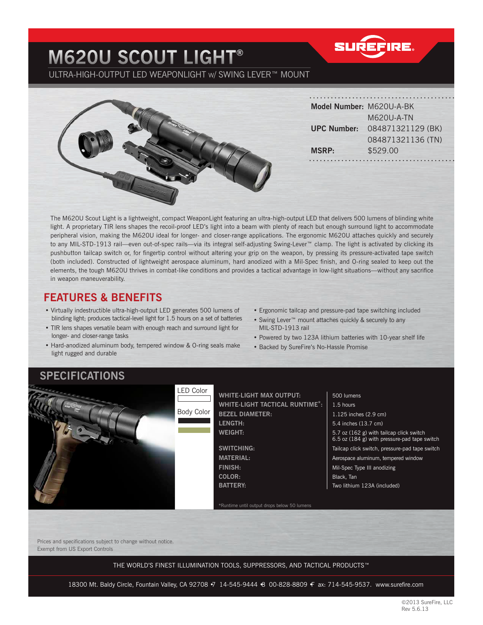## **M620U SCOUT LIGHT®** ULTRA-HIGH-OUTPUT LED WEAPONLIGHT W/ SWING LEVER™ MOUNT

**SUREFIRE** 



| Model Number: M620U-A-BK |                   |
|--------------------------|-------------------|
|                          | M620U-A-TN        |
| <b>UPC Number:</b>       | 084871321129 (BK) |
|                          | 084871321136 (TN) |
| <b>MSRP:</b>             | \$529.00          |
|                          |                   |

The M620U Scout Light is a lightweight, compact WeaponLight featuring an ultra-high-output LED that delivers 500 lumens of blinding white light. A proprietary TIR lens shapes the recoil-proof LED's light into a beam with plenty of reach but enough surround light to accommodate peripheral vision, making the M620U ideal for longer- and closer-range applications. The ergonomic M620U attaches quickly and securely to any MIL-STD-1913 rail—even out-of-spec rails—via its integral self-adjusting Swing-Lever™ clamp. The light is activated by clicking its pushbutton tailcap switch or, for fingertip control without altering your grip on the weapon, by pressing its pressure-activated tape switch (both included). Constructed of lightweight aerospace aluminum, hard anodized with a Mil-Spec finish, and O-ring sealed to keep out the elements, the tough M620U thrives in combat-like conditions and provides a tactical advantage in low-light situations—without any sacrifice in weapon maneuverability.

#### **FEATURES & BENEFITS**

- Virtually indestructible ultra-high-output LED generates 500 lumens of blinding light; produces tactical-level light for 1.5 hours on a set of batteries
- TIR lens shapes versatile beam with enough reach and surround light for longer- and closer-range tasks
- Hard-anodized aluminum body, tempered window & O-ring seals make light rugged and durable
- Ergonomic tailcap and pressure-pad tape switching included
- Swing Lever™ mount attaches quickly & securely to any MIL-STD-1913 rail
- Powered by two 123A lithium batteries with 10-year shelf life
- Backed by SureFire's No-Hassle Promise

### **SPECIFICATIONS**



**LENGTH:** 5.4 inches (13.7 cm) WHITE-LIGHT MAX OUTPUT:  $\vert$  500 lumens **WHITE-LIGHT TACTICAL RUNTIME\*:** 1.5 hours **BEZEL DIAMETER:** 1.125 inches (2.9 cm) **WEIGHT: WEIGHT: 5.7** oz (162 g) with tailcap click switch

**COLOR: Black, Tan** 

\*Runtime until output drops below 50 lumens

 6.5 oz (184 g) with pressure-pad tape switch **SWITCHING:** Tailcap click switch, pressure-pad tape switch

**MATERIAL: All accompanying the MATERIAL:** Aerospace aluminum, tempered window

**FINISH:**  $\vert$  Mil-Spec Type III anodizing **BATTERY:** Two lithium 123A (included)

Prices and specifications subject to change without notice. Exempt from US Export Controls

THE WORLD'S FINEST ILLUMINATION TOOLS, SUPPRESSORS, AND TACTICAL PRODUCTS™

18300 Mt. Baldy Circle, Fountain Valley, CA 92708 7 14-545-9444 8 00-828-8809 F ax: 714-545-9537. www.surefire.com